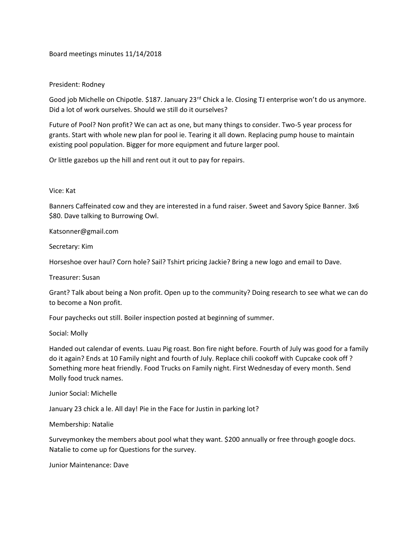Board meetings minutes 11/14/2018

## President: Rodney

Good job Michelle on Chipotle. \$187. January 23<sup>rd</sup> Chick a le. Closing TJ enterprise won't do us anymore. Did a lot of work ourselves. Should we still do it ourselves?

Future of Pool? Non profit? We can act as one, but many things to consider. Two-5 year process for grants. Start with whole new plan for pool ie. Tearing it all down. Replacing pump house to maintain existing pool population. Bigger for more equipment and future larger pool.

Or little gazebos up the hill and rent out it out to pay for repairs.

## Vice: Kat

Banners Caffeinated cow and they are interested in a fund raiser. Sweet and Savory Spice Banner. 3x6 \$80. Dave talking to Burrowing Owl.

Katsonner@gmail.com

Secretary: Kim

Horseshoe over haul? Corn hole? Sail? Tshirt pricing Jackie? Bring a new logo and email to Dave.

Treasurer: Susan

Grant? Talk about being a Non profit. Open up to the community? Doing research to see what we can do to become a Non profit.

Four paychecks out still. Boiler inspection posted at beginning of summer.

Social: Molly

Handed out calendar of events. Luau Pig roast. Bon fire night before. Fourth of July was good for a family do it again? Ends at 10 Family night and fourth of July. Replace chili cookoff with Cupcake cook off ? Something more heat friendly. Food Trucks on Family night. First Wednesday of every month. Send Molly food truck names.

Junior Social: Michelle

January 23 chick a le. All day! Pie in the Face for Justin in parking lot?

Membership: Natalie

Surveymonkey the members about pool what they want. \$200 annually or free through google docs. Natalie to come up for Questions for the survey.

Junior Maintenance: Dave